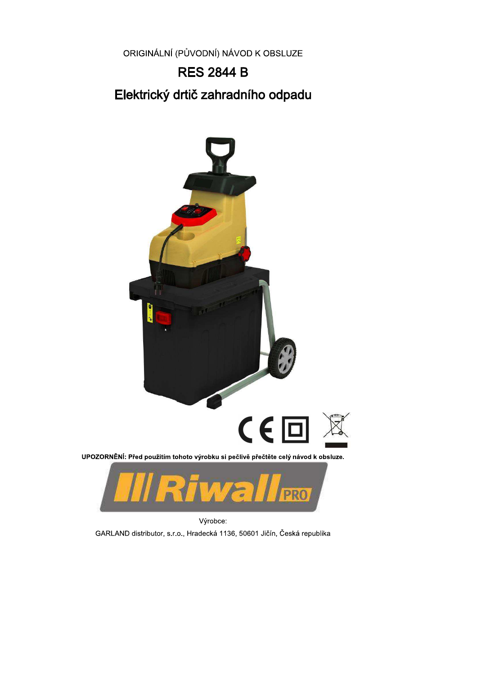ORIGINÁLNÍ (PŮVODNÍ) NÁVOD K OBSLUZE

# **RES 2844 B** Elektrický drtič zahradního odpadu



Výrobce: GARLAND distributor, s.r.o., Hradecká 1136, 50601 Jičín, Česká republika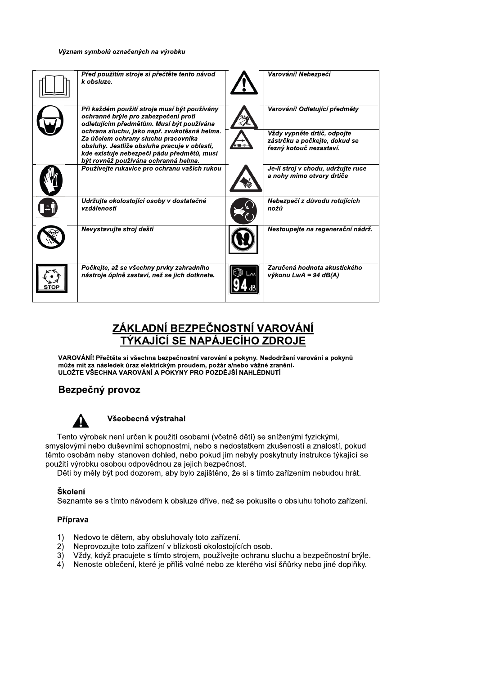#### Význam symbolů označených na výrobku

| Před použitím stroje si přečtěte tento návod<br>k obsluze.                                                                                                                        | Varování! Nebezpečí                                                                     |
|-----------------------------------------------------------------------------------------------------------------------------------------------------------------------------------|-----------------------------------------------------------------------------------------|
| Při každém použití stroje musí být používány<br>ochranné brýle pro zabezpečení proti<br>odletujícím předmětům. Musí být používána<br>ochrana sluchu, jako např. zvukotěsná helma. | Varování! Odletující předměty                                                           |
| Za účelem ochrany sluchu pracovníka<br>obsluhy. Jestliže obsluha pracuje v oblasti,<br>kde existuje nebezpečí pádu předmětů, musí<br>být rovněž používána ochranná helma.         | Vždy vypněte drtič, odpojte<br>zástrčku a počkejte, dokud se<br>řezný kotouč nezastaví. |
| Používejte rukavice pro ochranu vašich rukou                                                                                                                                      | Je-li stroj v chodu, udržujte ruce<br>a nohy mimo otvory drtiče                         |
| Udržujte okolostojící osoby v dostatečné<br>vzdálenosti                                                                                                                           | Nebezpečí z důvodu rotujících<br>nožů                                                   |
| Nevystavuite stroi dešti                                                                                                                                                          | Nestoupejte na regenerační nádrž.                                                       |
| Počkejte, až se všechny prvky zahradního<br>nástroje úplně zastaví, než se jich dotknete.                                                                                         | Zaručená hodnota akustického<br>výkonu LwA = 94 dB(A)                                   |

## ZÁKLADNÍ BEZPEČNOSTNÍ VAROVÁNÍ TÝKAJÍCÍ SE NAPÁJECÍHO ZDROJE

VAROVÁNÍ! Přečtěte si všechna bezpečnostní varování a pokyny. Nedodržení varování a pokynů může mít za následek úraz elektrickým proudem, požár a/nebo vážné zranění.<br>ULOŽTE VŠECHNA VAROVÁNÍ A POKYNY PRO POZDĚJŠÍ NAHLÉDNUTÍ

## Bezpečný provoz



#### Všeobecná výstraha!

Tento výrobek není určen k použití osobami (včetně dětí) se sníženými fyzickými, smyslovými nebo duševními schopnostmi, nebo s nedostatkem zkušeností a znalostí, pokud těmto osobám nebyl stanoven dohled, nebo pokud jim nebyly poskytnuty instrukce týkající se použití výrobku osobou odpovědnou za jejich bezpečnost.

Děti by měly být pod dozorem, aby bylo zajištěno, že si s tímto zařízením nebudou hrát.

#### Školení

Seznamte se s tímto návodem k obsluze dříve, než se pokusíte o obsluhu tohoto zařízení.

#### Příprava

- $\left( \right)$ Nedovolte dětem, aby obsluhovaly toto zařízení.
- $2)$ Neprovozujte toto zařízení v blízkosti okolostojících osob.
- $3)$ Vždy, když pracujete s tímto strojem, používejte ochranu sluchu a bezpečnostní brýle.
- Nenoste oblečení, které je příliš volné nebo ze kterého visí šňůrky nebo jiné doplňky.  $4)$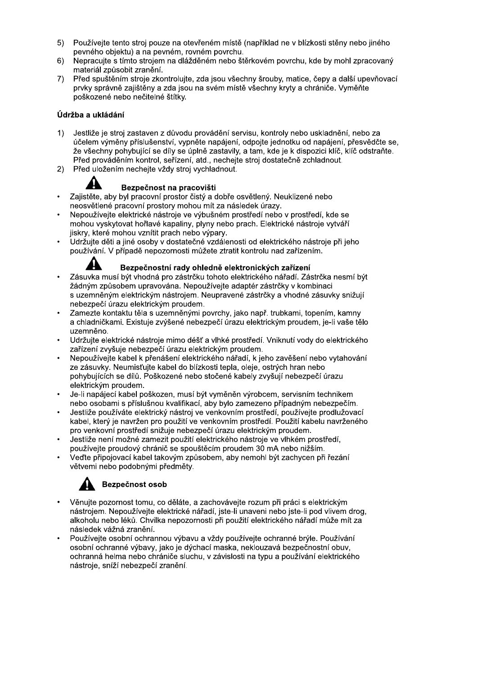- 5) Používeite tento stroi pouze na otevřeném místě (například ne v blízkosti stěny nebo jiného pevného objektu) a na pevném, rovném povrchu.
- 6) Nepracuite s tímto stroiem na dlážděném nebo štěrkovém povrchu, kde by mohl zpracovaný materiál způsobit zranění.
- 7) Před spuštěním stroje zkontroluite, zda jsou všechny šrouby, matice, čepy a další upevňovací prvky správně zajištěny a zda jsou na svém místě všechny kryty a chrániče. Vyměňte poškozené nebo nečitelné štítky.

#### Údržba a ukládání

- Jestliže je stroj zastaven z důvodu provádění servisu, kontroly nebo uskladnění, nebo za  $1)$ účelem výměny příslušenství, vypněte napájení, odpojte jednotku od napájení, přesvědčte se, že všechny pohybující se díly se úplně zastavily, a tam, kde je k dispozici klíč, klíč odstraňte. Před prováděním kontrol, seřízení, atd., nechejte stroj dostatečně zchladnout.
- Před uložením nechejte vždy stroj vychladnout.  $2)$



#### Bezpečnost na pracovišti

- Zajistěte, aby byl pracovní prostor čistý a dobře osvětlený. Neuklizené nebo neosvětlené pracovní prostory mohou mít za následek úrazy.
- Nepoužívejte elektrické nástroje ve výbušném prostředí nebo v prostředí, kde se mohou vyskytovat hořlavé kapaliny, plyny nebo prach. Elektrické nástroje vytváří jiskry, které mohou vznítit prach nebo výpary.
- Udržujte děti a jiné osoby v dostatečné vzdálenosti od elektrického nástroje při jeho používání. V případě nepozornosti můžete ztratit kontrolu nad zařízením.

#### Bezpečnostní rady ohledně elektronických zařízení

- Zásuvka musí být vhodná pro zástrčku tohoto elektrického nářadí. Zástrčka nesmí být žádným způsobem upravována. Nepoužívejte adaptér zástrčky v kombinaci s uzemněným elektrickým nástrojem. Neupravené zástrčky a vhodné zásuvky snižují nebezpečí úrazu elektrickým proudem.
- Zamezte kontaktu těla s uzemněnými povrchy, jako např. trubkami, topením, kamny a chladničkami. Existuje zvýšené nebezpečí úrazu elektrickým proudem, je-li vaše tělo uzemněno.
- Udržuite elektrické nástroje mimo déšť a vlhké prostředí. Vniknutí vody do elektrického zařízení zvyšuje nebezpečí úrazu elektrickým proudem.
- Nepoužívejte kabel k přenášení elektrického nářadí, k jeho zavěšení nebo vytahování ze zásuvky. Neumisťuite kabel do blízkosti tepla, oleje, ostrých hran nebo pohybujících se dílů. Poškozené nebo stočené kabely zvyšují nebezpečí úrazu elektrickým proudem.
- Je-li napájecí kabel poškozen, musí být vyměněn výrobcem, servisním technikem nebo osobami s příslušnou kvalifikací, aby bylo zamezeno případným nebezpečím.
- Jestliže používáte elektrický nástroj ve venkovním prostředí, používejte prodlužovací kabel, který je navržen pro použití ve venkovním prostředí. Použití kabelu navrženého pro venkovní prostředí snižuje nebezpečí úrazu elektrickým proudem.
- Jestliže není možné zamezit použití elektrického nástroje ve vlhkém prostředí, používejte proudový chránič se spouštěcím proudem 30 mA nebo nižším.
- Veďte připojovací kabel takovým způsobem, aby nemohl být zachycen při řezání větvemi nebo podobnými předměty.



## Bezpečnost osob

- Věnujte pozornost tomu, co děláte, a zachovávejte rozum při práci s elektrickým nástrojem. Nepoužívejte elektrické nářadí, jste-li unaveni nebo jste-li pod vlivem drog, alkoholu nebo léků. Chvilka nepozornosti při použití elektrického nářadí může mít za následek vážná zranění.
- Používejte osobní ochrannou výbavu a vždy používejte ochranné brýle. Používání osobní ochranné výbavy, jako je dýchací maska, neklouzavá bezpečnostní obuv, ochranná helma nebo chrániče sluchu, v závislosti na typu a používání elektrického nástroje, sníží nebezpečí zranění.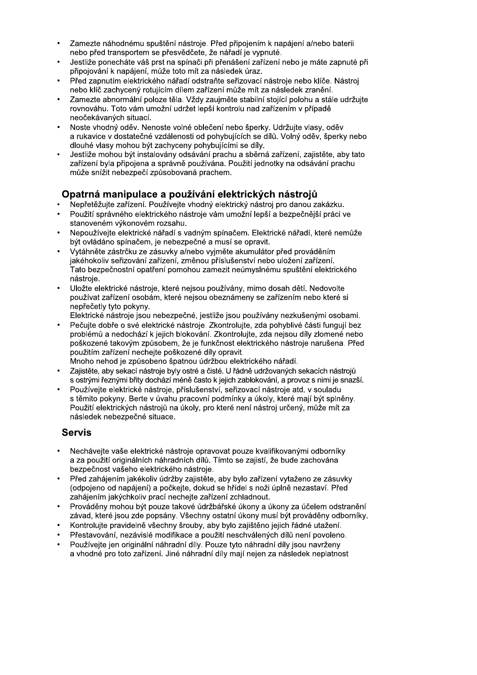- Zamezte náhodnému spuštění nástroje. Před připojením k napájení a/nebo baterii nebo před transportem se přesvědčete, že nářadí je vypnuté.
- Jestliže ponecháte váš prst na spínači při přenášení zařízení nebo je máte zapnuté při připojování k napájení, může toto mít za následek úraz.
- Před zapnutím elektrického nářadí odstraňte seřizovací nástroje nebo klíče. Nástroj nebo klíč zachycený rotujícím dílem zařízení může mít za následek zranění.
- Zamezte abnormální poloze těla. Vždy zaujměte stabilní stojící polohu a stále udržujte rovnováhu. Toto vám umožní udržet lepší kontrolu nad zařízením v případě neočekávaných situací.
- Noste vhodný oděv. Nenoste volné oblečení nebo šperky. Udržujte vlasy, oděv a rukavice v dostatečné vzdálenosti od pohybujících se dílů. Volný oděv, šperky nebo dlouhé vlasy mohou být zachyceny pohybujícími se díly.
- Jestliže mohou být instalovány odsávání prachu a sběrná zařízení, zajistěte, aby tato zařízení byla připojena a správně používána. Použití jednotky na odsávání prachu může snížit nebezpečí způsobovaná prachem.

## Opatrná manipulace a používání elektrických nástrojů

- Nepřetěžujte zařízení. Používejte vhodný elektrický nástroj pro danou zakázku.
- Použití správného elektrického nástroje vám umožní lepší a bezpečnější práci ve stanoveném výkonovém rozsahu.
- Nepoužívejte elektrické nářadí s vadným spínačem. Elektrické nářadí, které nemůže být ovládáno spínačem, je nebezpečné a musí se opravit.
- Vytáhněte zástrčku ze zásuvky a/nebo vyjměte akumulátor před prováděním jakéhokoliv seřizování zařízení, změnou příslušenství nebo uložení zařízení. Tato bezpečnostní opatření pomohou zamezit neúmyslnému spuštění elektrického nástroie.
- Uložte elektrické nástroje, které nejsou používány, mimo dosah dětí. Nedovolte používat zařízení osobám, které nejsou obeznámeny se zařízením nebo které si nepřečetly tyto pokyny.

Elektrické nástroje jsou nebezpečné, jestliže jsou používány nezkušenými osobami.

- Pečuite dobře o své elektrické nástroje. Zkontroluite, zda pohyblivé části fungují bez problémů a nedochází k jejich blokování. Zkontrolujte, zda nejsou díly zlomené nebo poškozené takovým způsobem, že je funkčnost elektrického nástroje narušena. Před použitím zařízení nechejte poškozené díly opravit.
- Mnoho nehod je způsobeno špatnou údržbou elektrického nářadí.
- Zajistěte, aby sekací nástroje byly ostré a čisté. U řádně udržovaných sekacích nástrojů s ostrými řeznými břity dochází méně často k jejich zablokování, a provoz s nimi je snazší.
- Používeite elektrické nástroje, příslušenství, seřizovací nástroje atd. v souladu s těmito pokyny. Berte v úvahu pracovní podmínky a úkoly, které mají být splněny. Použití elektrických nástrojů na úkoly, pro které není nástroj určený, může mít za následek nebezpečné situace.

## **Servis**

- Nechávejte vaše elektrické nástroje opravovat pouze kvalifikovanými odborníky a za použití originálních náhradních dílů. Tímto se zajistí, že bude zachována bezpečnost vašeho elektrického nástroje.
- Před zahájením jakékoliv údržby zajistěte, aby bylo zařízení vytaženo ze zásuvky (odpojeno od napájení) a počkejte, dokud se hřídel s noži úplně nezastaví. Před zahájením jakýchkoliv prací nechejte zařízení zchladnout.
- Prováděny mohou být pouze takové údržbářské úkony a úkony za účelem odstranění závad, které jsou zde popsány. Všechny ostatní úkony musí být prováděny odborníky.
- Kontrolujte pravidelně všechny šrouby, aby bylo zajištěno jejich řádné utažení.
- Přestavování, nezávislé modifikace a použití neschválených dílů není povoleno.
- Používeite jen originální náhradní díly. Pouze tyto náhradní díly jsou navrženy a vhodné pro toto zařízení. Jiné náhradní díly mají nejen za následek neplatnost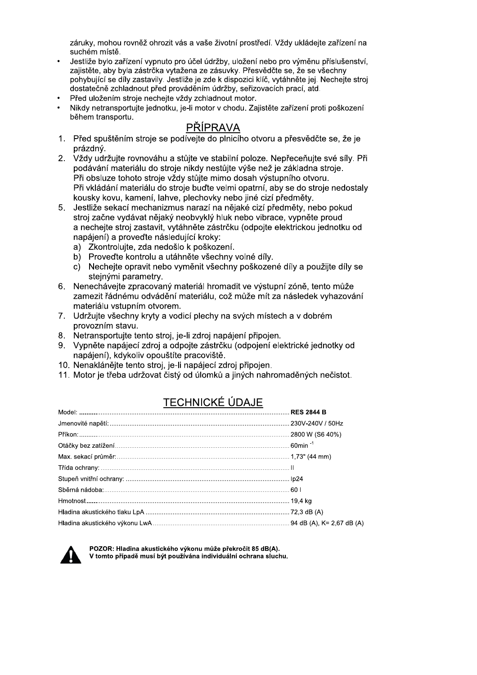záruky, mohou rovněž ohrozit vás a vaše životní prostředí. Vždy ukládejte zařízení na suchém místě.

- Jestliže bylo zařízení vypnuto pro účel údržby, uložení nebo pro výměnu příslušenství, zajistěte, aby byla zástrčka vytažena ze zásuvky. Přesvědčte se, že se všechny pohybující se díly zastavily. Jestliže je zde k dispozici klíč, vytáhněte jej. Nechejte stroj dostatečně zchladnout před prováděním údržby, seřizovacích prací, atd.
- Před uložením stroje nechejte vždy zchladnout motor.
- Nikdy netransportujte jednotku, je-li motor v chodu. Zajistěte zařízení proti poškození během transportu.

- PŘÍPRAVA<br>1. Před spuštěním stroje se podívejte do plnicího otvoru a přesvědčte se, že je prázdný.
- 2. Vždy udržujte rovnováhu a stůjte ve stabilní poloze. Nepřeceňujte své síly. Při podávání materiálu do stroje nikdy nestůjte výše než je základna stroje. Při obsluze tohoto stroje vždy stůjte mimo dosah výstupního otvoru. Při vkládání materiálu do stroje buďte velmi opatrní, aby se do stroje nedostaly kousky kovu, kamení, lahve, plechovky nebo jiné cizí předměty.
- 5. Jestliže sekací mechanizmus narazí na nějaké cizí předměty, nebo pokud stroj začne vydávat nějaký neobvyklý hluk nebo vibrace, vypněte proud a necheite stroi zastavit, vytáhněte zástrčku (odpojte elektrickou jednotku od napájení) a proveďte následující kroky:
	- a) Zkontrolujte, zda nedošlo k poškození.
	- b) Proveďte kontrolu a utáhněte všechny volné díly.
	- c) Nechejte opravit nebo vyměnit všechny poškozené díly a použijte díly se stejnými parametry.
- 6. Nenechávejte zpracovaný materiál hromadit ve výstupní zóně, tento může zamezit řádnému odvádění materiálu, což může mít za následek vyhazování materiálu vstupním otvorem.
- 7. Udržujte všechny kryty a vodicí plechy na svých místech a v dobrém provozním stavu.
- 8. Netransportujte tento stroj, je-li zdroj napájení připojen.
- 9. Vypněte napájecí zdroj a odpojte zástrčku (odpojení elektrické jednotky od napájení), kdykoliv opouštíte pracoviště.
- 10. Nenaklánějte tento stroj, je-li napájecí zdroj připojen.
- 11. Motor je třeba udržovat čistý od úlomků a jiných nahromaděných nečistot.

## **TECHNICKÉ ÚDAJE**



POZOR: Hladina akustického výkonu může překročit 85 dB(A). V tomto případě musí být používána individuální ochrana sluchu.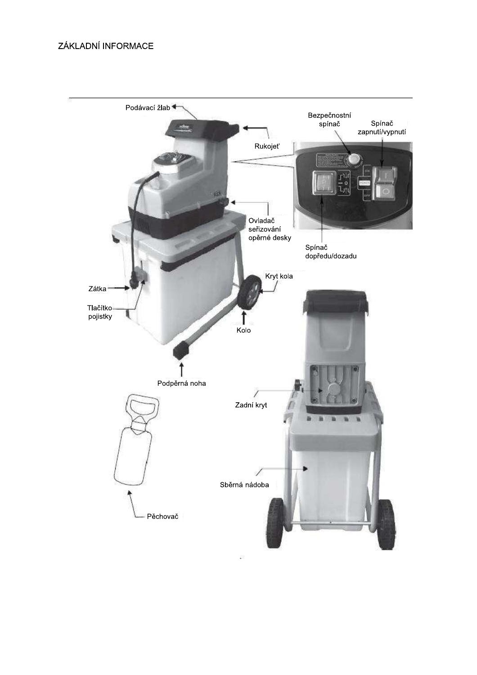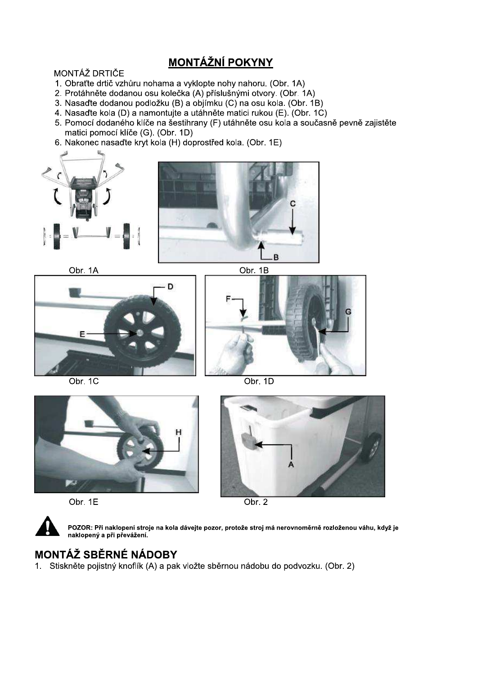## **MONTÁŽNÍ POKYNY**

#### MONTÁŽ DRTIČE

- 1. Obraťte drtič vzhůru nohama a vyklopte nohy nahoru. (Obr. 1A)
- 2. Protáhněte dodanou osu kolečka (A) příslušnými otvory. (Obr. 1A)
- 3. Nasaďte dodanou podložku (B) a objímku (C) na osu kola. (Obr. 1B)
- 4. Nasaďte kola (D) a namontujte a utáhněte matici rukou (E). (Obr. 1C)
- 5. Pomocí dodaného klíče na šestihrany (F) utáhněte osu kola a současně pevně zajistěte matici pomocí klíče (G). (Obr. 1D)
- 6. Nakonec nasaďte kryt kola (H) doprostřed kola. (Obr. 1E)







Obr. 1C

Obr. 1B





Obr. 1E

Obr.  $2$ 



POZOR: Při naklopení stroje na kola dávejte pozor, protože stroj má nerovnoměrně rozloženou váhu, když je<br>naklopený a při převážení.

## **MONTÁŽ SBĚRNÉ NÁDOBY**

1. Stiskněte pojistný knoflík (A) a pak vložte sběrnou nádobu do podvozku. (Obr. 2)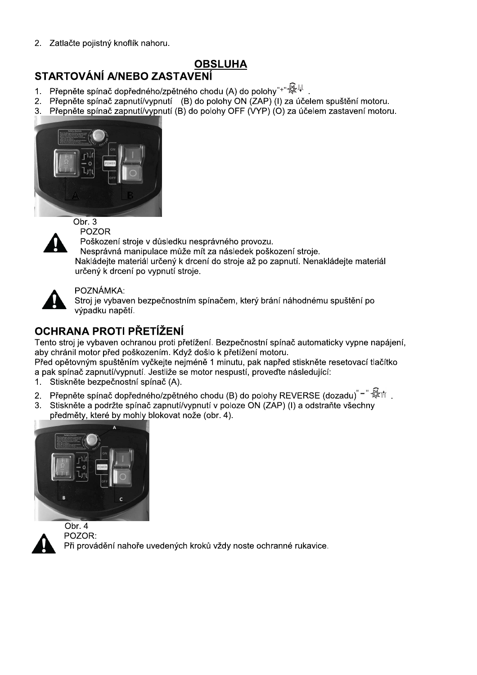2. Zatlačte pojistný knoflík nahoru.

## **OBSLUHA**

## **STARTOVÁNÍ A/NEBO ZASTAVENÍ**

- 1. Přepněte spínač dopředného/zpětného chodu (A) do polohy"+" $\overline{\mathbb{R}}^{\downarrow\downarrow}$
- 2. Přepněte spínač zapnutí/vypnutí (B) do polohy ON (ZAP) (I) za účelem spuštění motoru.
- Přepněte spínač zapnutí/vypnutí (B) do polohy OFF (VYP) (O) za účelem zastavení motoru.  $3<sub>1</sub>$





**POZOR** 

Poškození stroje v důsledku nesprávného provozu.

Nesprávná manipulace může mít za následek poškození stroje. Nakládejte materiál určený k drcení do stroje až po zapnutí. Nenakládejte materiál určený k drcení po vypnutí stroje.



### POZNÁMKA:

Stroj je vybaven bezpečnostním spínačem, který brání náhodnému spuštění po výpadku napětí.

## OCHRANA PROTI PŘETÍŽENÍ

Tento stroj je vybaven ochranou proti přetížení. Bezpečnostní spínač automaticky vypne napájení, aby chránil motor před poškozením. Když došlo k přetížení motoru.

Před opětovným spuštěním vyčkejte nejméně 1 minutu, pak napřed stiskněte resetovací tlačítko a pak spínač zapnutí/vypnutí. Jestliže se motor nespustí, proveďte následující:

- 1. Stiskněte bezpečnostní spínač (A).
- Přepněte spínač dopředného/zpětného chodu (B) do polohy REVERSE (dozadu) =  $\mathbb{R}^+$  $2.$
- Stiskněte a podržte spínač zapnutí/vypnutí v poloze ON (ZAP) (I) a odstraňte všechny  $3.$ předměty, které by mohly blokovat nože (obr. 4).





Obr.  $4$ POZOR: Při provádění nahoře uvedených kroků vždy noste ochranné rukavice.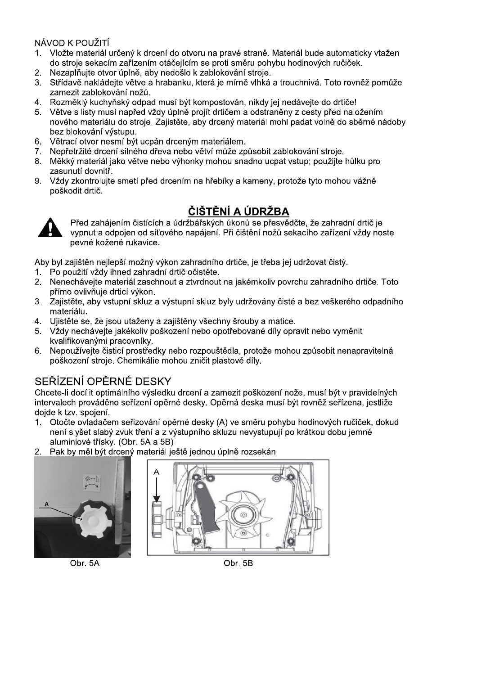## NÁVOD K POUŽITÍ

- 1. Vložte materiál určený k drcení do otvoru na pravé straně. Materiál bude automaticky vtažen do stroje sekacím zařízením otáčejícím se proti směru pohybu hodinových ručiček.
- Nezaplňujte otvor úplně, aby nedošlo k zablokování stroje.  $2.$
- 3. Střídavě nakládejte větve a hrabanku, která je mírně vlhká a trouchnivá. Toto rovněž pomůže zamezit zablokování nožů.
- 4. Rozměklý kuchyňský odpad musí být kompostován, nikdy jej nedávejte do drtiče!
- $5<sup>1</sup>$ Větve s listy musí napřed vždy úplně projít drtičem a odstraněny z cesty před naložením nového materiálu do stroje. Zajistěte, aby drcený materiál mohl padat volně do sběrné nádoby bez blokování výstupu.
- Větrací otvor nesmí být ucpán drceným materiálem.  $6.$
- Nepřetržité drcení silného dřeva nebo větví může způsobit zablokování stroje.  $7.$
- 8. Měkký materiál jako větve nebo výhonky mohou snadno ucpat vstup; použijte hůlku pro zasunutí dovnitř.
- $9.$ Vždy zkontrolujte smetí před drcením na hřebíky a kameny, protože tyto mohou vážně poškodit drtič.

## ČIŠTĚNÍ A ÚDRŽBA



Před zahájením čistících a údržbářských úkonů se přesvědčte, že zahradní drtič je vypnut a odpojen od síťového napájení. Při čištění nožů sekacího zařízení vždy noste pevné kožené rukavice.

Aby byl zajištěn nejlepší možný výkon zahradního drtiče, je třeba jej udržovat čistý.

- Po použití vždy ihned zahradní drtič očistěte.  $1<sup>1</sup>$
- Nenechávejte materiál zaschnout a ztvrdnout na jakémkoliv povrchu zahradního drtiče. Toto  $2.$ přímo ovlivňuje drticí výkon.
- 3. Zajistěte, aby vstupní skluz a výstupní skluz byly udržovány čisté a bez veškerého odpadního materiálu.
- 4. Ujistěte se, že jsou utaženy a zajištěny všechny šrouby a matice.
- 5. Vždy nechávejte jakékoliv poškození nebo opotřebované díly opravit nebo vyměnit kvalifikovanými pracovníky.
- Nepoužívejte čisticí prostředky nebo rozpouštědla, protože mohou způsobit nenapravitelná 6. poškození stroje. Chemikálie mohou zničit plastové díly.

## SEŘÍZENÍ OPĚRNÉ DESKY

Chcete-li docílit optimálního výsledku drcení a zamezit poškození nože, musí být v pravidelných intervalech prováděno seřízení opěrné desky. Opěrná deska musí být rovněž seřízena, jestliže doide k tzv. spojení.

- Otočte ovladačem seřizování opěrné desky (A) ve směru pohybu hodinových ručiček, dokud  $1_{-}$ není slyšet slabý zvuk tření a z výstupního skluzu nevystupují po krátkou dobu jemné aluminiové třísky. (Obr. 5A a 5B)
- 2. Pak by měl být drcený materiál ještě jednou úplně rozsekán.





Obr. 5A

Obr. 5B